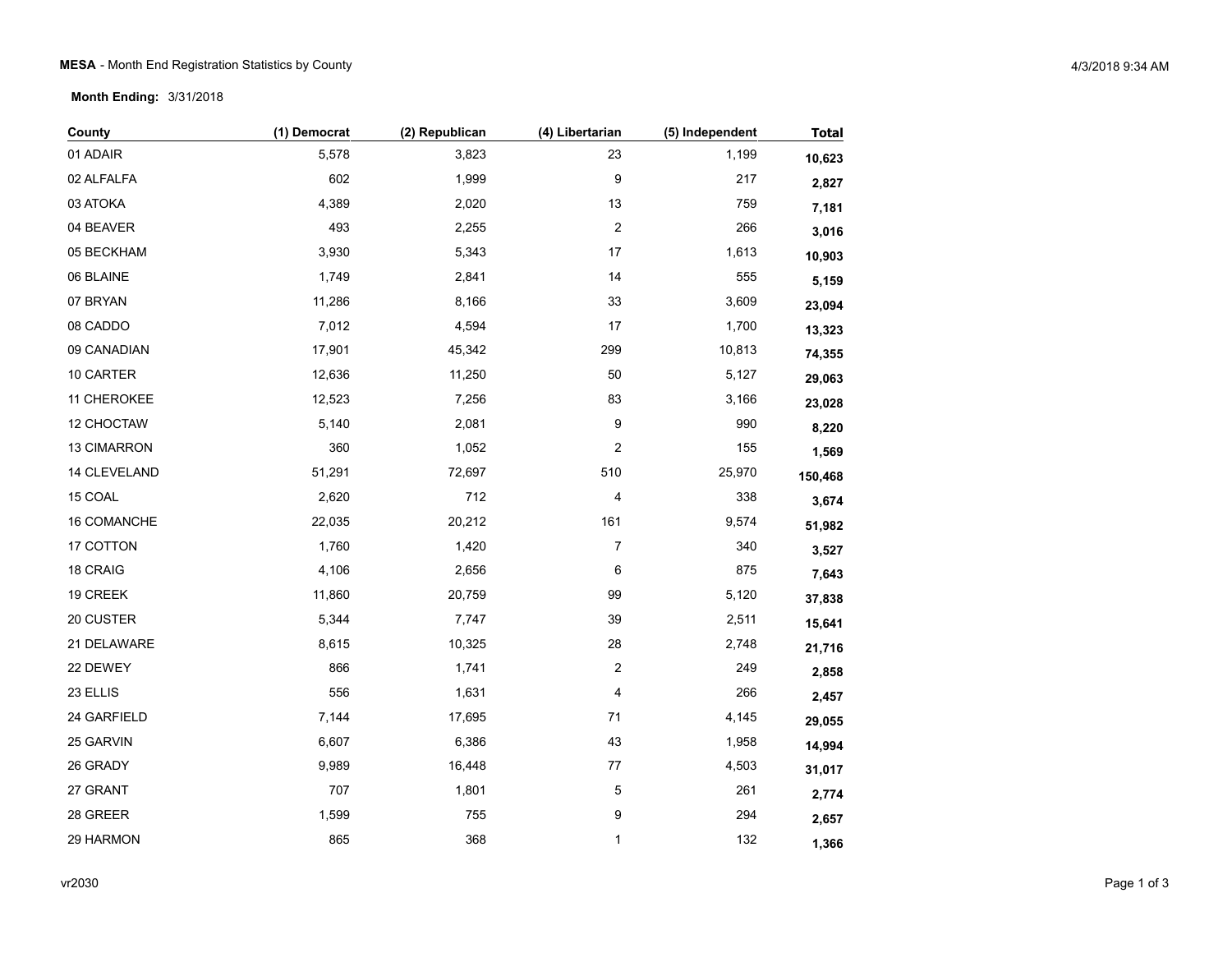**Month Ending:** 3/31/2018

| County       | (1) Democrat | (2) Republican | (4) Libertarian         | (5) Independent | <b>Total</b> |
|--------------|--------------|----------------|-------------------------|-----------------|--------------|
| 01 ADAIR     | 5,578        | 3,823          | 23                      | 1,199           | 10,623       |
| 02 ALFALFA   | 602          | 1,999          | 9                       | 217             | 2,827        |
| 03 ATOKA     | 4,389        | 2,020          | 13                      | 759             | 7,181        |
| 04 BEAVER    | 493          | 2,255          | $\boldsymbol{2}$        | 266             | 3,016        |
| 05 BECKHAM   | 3,930        | 5,343          | $17\,$                  | 1,613           | 10,903       |
| 06 BLAINE    | 1,749        | 2,841          | 14                      | 555             | 5,159        |
| 07 BRYAN     | 11,286       | 8,166          | 33                      | 3,609           | 23,094       |
| 08 CADDO     | 7,012        | 4,594          | 17                      | 1,700           | 13,323       |
| 09 CANADIAN  | 17,901       | 45,342         | 299                     | 10,813          | 74,355       |
| 10 CARTER    | 12,636       | 11,250         | 50                      | 5,127           | 29,063       |
| 11 CHEROKEE  | 12,523       | 7,256          | 83                      | 3,166           | 23,028       |
| 12 CHOCTAW   | 5,140        | 2,081          | 9                       | 990             | 8,220        |
| 13 CIMARRON  | 360          | 1,052          | $\overline{\mathbf{c}}$ | 155             | 1,569        |
| 14 CLEVELAND | 51,291       | 72,697         | 510                     | 25,970          | 150,468      |
| 15 COAL      | 2,620        | 712            | 4                       | 338             | 3,674        |
| 16 COMANCHE  | 22,035       | 20,212         | 161                     | 9,574           | 51,982       |
| 17 COTTON    | 1,760        | 1,420          | $\boldsymbol{7}$        | 340             | 3,527        |
| 18 CRAIG     | 4,106        | 2,656          | 6                       | 875             | 7,643        |
| 19 CREEK     | 11,860       | 20,759         | 99                      | 5,120           | 37,838       |
| 20 CUSTER    | 5,344        | 7,747          | 39                      | 2,511           | 15,641       |
| 21 DELAWARE  | 8,615        | 10,325         | 28                      | 2,748           | 21,716       |
| 22 DEWEY     | 866          | 1,741          | $\boldsymbol{2}$        | 249             | 2,858        |
| 23 ELLIS     | 556          | 1,631          | 4                       | 266             | 2,457        |
| 24 GARFIELD  | 7,144        | 17,695         | $71$                    | 4,145           | 29,055       |
| 25 GARVIN    | 6,607        | 6,386          | 43                      | 1,958           | 14,994       |
| 26 GRADY     | 9,989        | 16,448         | $77 \,$                 | 4,503           | 31,017       |
| 27 GRANT     | 707          | 1,801          | $\mathbf 5$             | 261             | 2,774        |
| 28 GREER     | 1,599        | 755            | 9                       | 294             | 2,657        |
| 29 HARMON    | 865          | 368            | 1                       | 132             | 1,366        |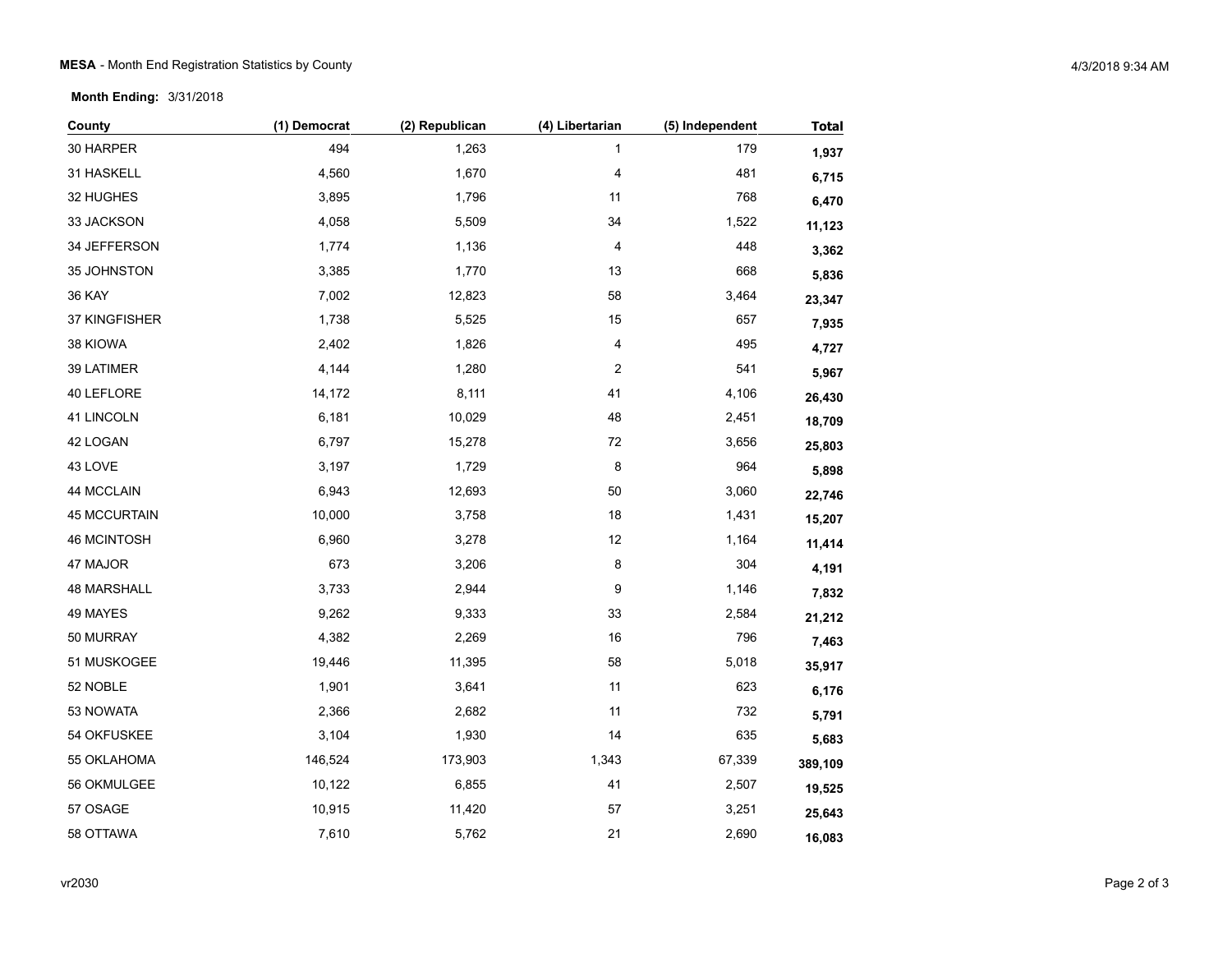**Month Ending:** 3/31/2018

| County              | (1) Democrat | (2) Republican | (4) Libertarian         | (5) Independent | <b>Total</b> |
|---------------------|--------------|----------------|-------------------------|-----------------|--------------|
| 30 HARPER           | 494          | 1,263          | 1                       | 179             | 1,937        |
| 31 HASKELL          | 4,560        | 1,670          | 4                       | 481             | 6,715        |
| 32 HUGHES           | 3,895        | 1,796          | 11                      | 768             | 6,470        |
| 33 JACKSON          | 4,058        | 5,509          | 34                      | 1,522           | 11,123       |
| 34 JEFFERSON        | 1,774        | 1,136          | 4                       | 448             | 3,362        |
| 35 JOHNSTON         | 3,385        | 1,770          | 13                      | 668             | 5,836        |
| 36 KAY              | 7,002        | 12,823         | 58                      | 3,464           | 23,347       |
| 37 KINGFISHER       | 1,738        | 5,525          | 15                      | 657             | 7,935        |
| 38 KIOWA            | 2,402        | 1,826          | 4                       | 495             | 4,727        |
| 39 LATIMER          | 4,144        | 1,280          | $\overline{\mathbf{c}}$ | 541             | 5,967        |
| 40 LEFLORE          | 14,172       | 8,111          | 41                      | 4,106           | 26,430       |
| 41 LINCOLN          | 6,181        | 10,029         | 48                      | 2,451           | 18,709       |
| 42 LOGAN            | 6,797        | 15,278         | 72                      | 3,656           | 25,803       |
| 43 LOVE             | 3,197        | 1,729          | 8                       | 964             | 5,898        |
| 44 MCCLAIN          | 6,943        | 12,693         | 50                      | 3,060           | 22,746       |
| <b>45 MCCURTAIN</b> | 10,000       | 3,758          | 18                      | 1,431           | 15,207       |
| 46 MCINTOSH         | 6,960        | 3,278          | 12                      | 1,164           | 11,414       |
| 47 MAJOR            | 673          | 3,206          | 8                       | 304             | 4,191        |
| <b>48 MARSHALL</b>  | 3,733        | 2,944          | 9                       | 1,146           | 7,832        |
| 49 MAYES            | 9,262        | 9,333          | 33                      | 2,584           | 21,212       |
| 50 MURRAY           | 4,382        | 2,269          | 16                      | 796             | 7,463        |
| 51 MUSKOGEE         | 19,446       | 11,395         | 58                      | 5,018           | 35,917       |
| 52 NOBLE            | 1,901        | 3,641          | 11                      | 623             | 6,176        |
| 53 NOWATA           | 2,366        | 2,682          | 11                      | 732             | 5,791        |
| 54 OKFUSKEE         | 3,104        | 1,930          | 14                      | 635             | 5,683        |
| 55 OKLAHOMA         | 146,524      | 173,903        | 1,343                   | 67,339          | 389,109      |
| 56 OKMULGEE         | 10,122       | 6,855          | 41                      | 2,507           | 19,525       |
| 57 OSAGE            | 10,915       | 11,420         | 57                      | 3,251           | 25,643       |
| 58 OTTAWA           | 7,610        | 5,762          | 21                      | 2,690           | 16,083       |